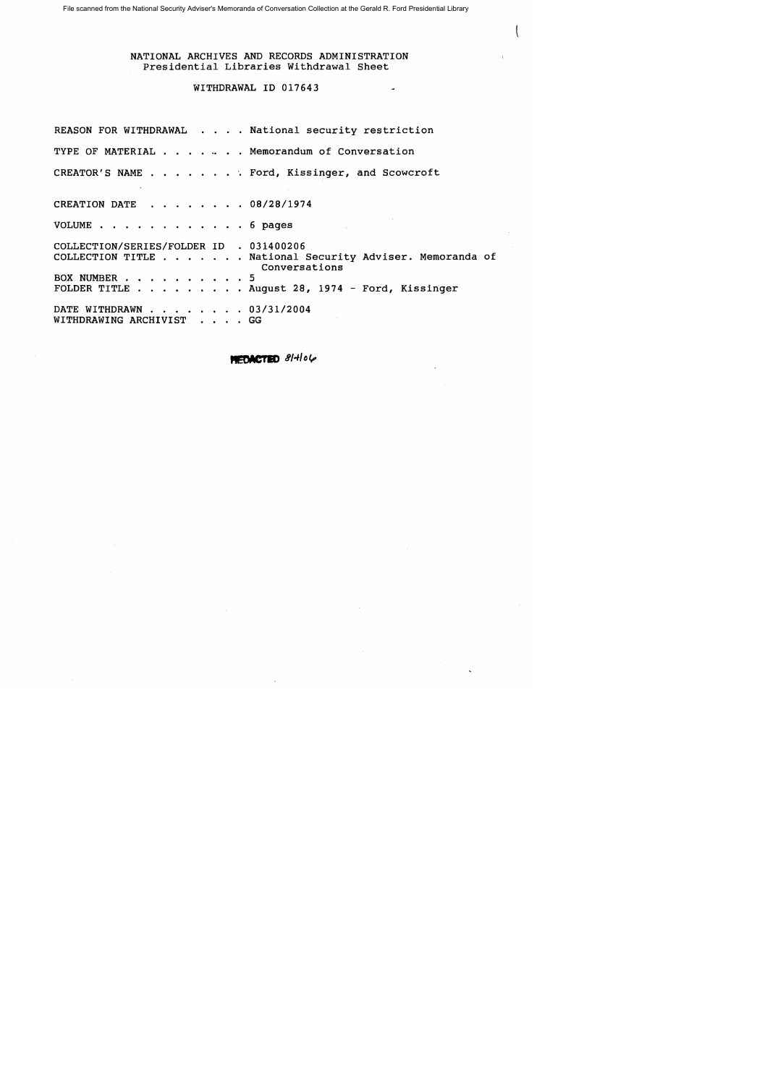#### WITHDRAWAL ID 017643

REASON FOR WITHDRAWAL . . . . National security restriction TYPE OF MATERIAL  $\cdots$   $\cdots$   $\cdots$  Memorandum of Conversation CREATOR'S NAME . . . . . . . Ford, Kissinger, and Scowcroft CREATION DATE . . . . . . . 08/28/1974 VOLUME . . . . . . . . . . . . 6 pages COLLECTION/SERIES/FOLDER ID . 031400206 COLLECTION TITLE . . . . . . National Security Adviser. Memoranda of BOX NUMBER . BOA NUMBER . . . . . . . . . . . . .<br>FOLDER TITLE . . . . . . . . . August 28, 1974 - Ford, Kissinger DATE WITHDRAWN . . . . . . . 03/31/2004 WITHDRAWING ARCHIVIST . . . . GG Conversations

MEDACTED 81-106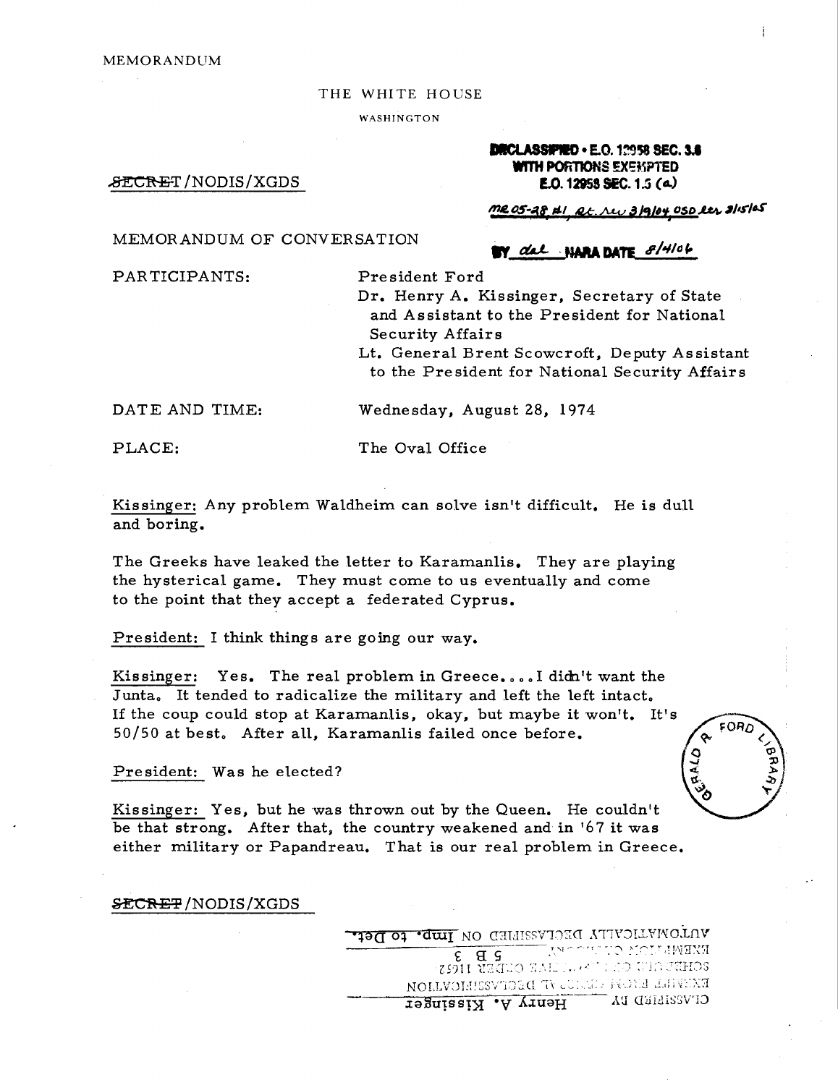#### THE WHITE HOUSE

WASHINGTON

#### DICLASSIPIED · E.O. 1~958 SEC. 3.8 WITH PORTIONS EXEMPTED E.O.12958 SEC. 1.5 *(t&.)*

W dal NARA DATE 8/4/06

 $\mathcal{B}\texttt{ECREF}/\text{NODIS}/\text{XGDS}$ 

### ~OS-d( *11-/, M.Mv 31,/,,) 05D..I.4I/*<sup>I</sup> *s-I.s"*

#### MEMORANDUM OF CONVERSATION

PARTICIPANTS:

President Ford

Dr. Henry A. Kissinger, Secretary of State and Assistant to the President for National Security Affairs

Lt. General Brent Scowcroft, Deputy As sistant to the President for National Security Affairs

DATE AND TIME:

Wednesday, August 28, 1974

PLACE:

The Oval Office

Kissinger: Any problem Waldheim can solve isn't difficult. He is dull and boring.

The Greeks have leaked the letter to Karamanlis. They are playing the hysterical game. They must come to us eventually and come to the point that they accept a federated Cyprus.

President: I think things are going our way.

Kissinger: Yes. The real problem in Greece....I didn't want the Junta. It tended to radicalize the military and left the left intact. If the coup could stop at Karamanlis, okay, but maybe it won't. It's 50/50 at best, After all, Karamanlis failed once before.

President: Was he elected?

FORD

Kissinger: Yes, but he was thrown out by the Queen. He couldn't be that strong. After that, the country weakened and in '67 it was either military or Papandreau. That is our real problem in Greece.

**&ECREP/NODIS/XGDS** 

ULLOWYLICYTTA DECFYREEED ON THUL TO TIGHT cc: s: S ~T,'\T~-.-rr--~::, ~"~:-'~~,TVrtI~~:'1  $Z$ 59 $H$ 1  $\overline{u}$ 2 $\overline{u}$  . The state of  $\overline{u}$  ,  $\overline{u}$  is  $\overline{u}$ EXEVILL ENOR CECTO IN SCIVESIEICVILON NORLLVILLES OF THE STREET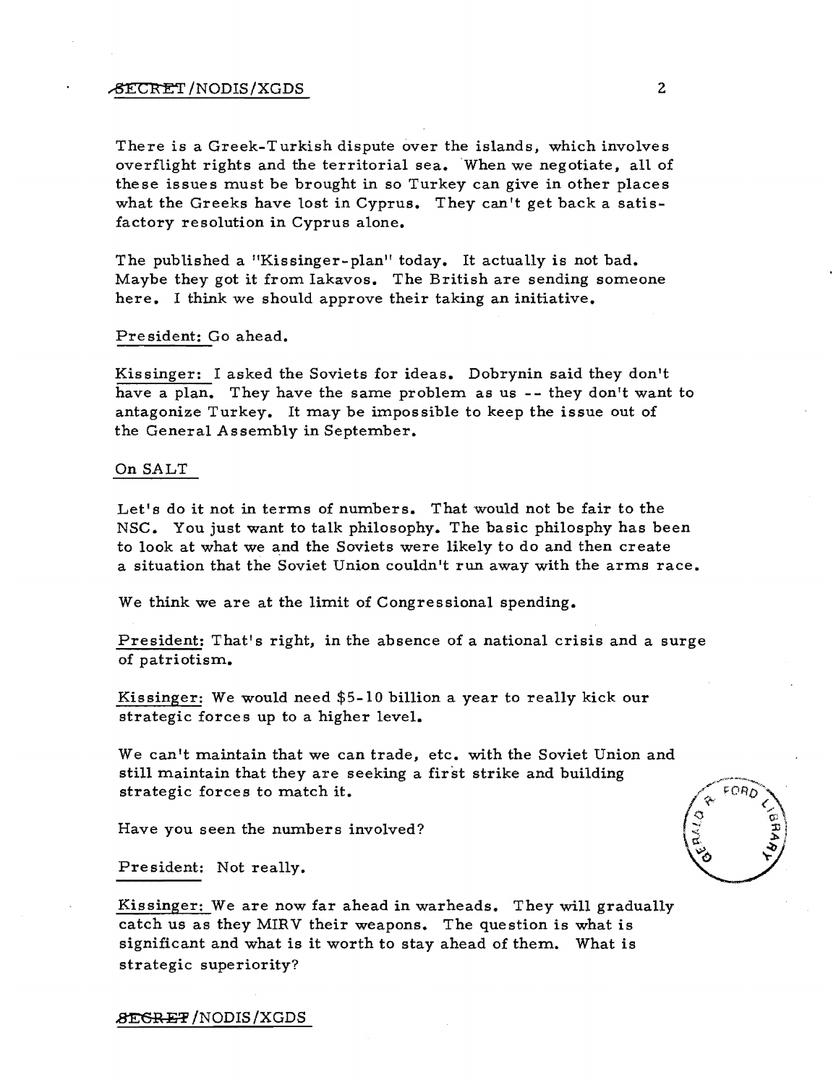## # \\text{\math}\text{\math}\text{\math}\text{\math}\text{\math}\text{\math}\text{\math}\text{\math}\text{\math}\text{\math}\text{\math}\text{\math}\text{\math}\text{\math}\text{\math}\text{\math}\text{\math}\text{\math}\te

There is a Greek-Turkish dispute over the islands, which involves overflight rights and the territorial sea. When we negotiate, a1l of these issues must be brought in so Turkey can give in other places what the Greeks have lost in Cyprus. They can't get back a satisfactory resolution in Cyprus alone.

The published a "Kissinger-plan" today. It actually is not bad. Maybe they got it from Iakavos. The British are sending someone here. I think we should approve their taking an initiative.

#### Pre sident: Go ahead.

Kissinger: I asked the Soviets for ideas. Dobrynin said they don't have a plan. They have the same problem as us -- they don't want to antagonize Turkey. It may be impossible to keep the issue out of the General Assembly in September.

#### On SALT

Let's do it not in terms of numbers. That would not be fair to the NSC. You just want to talk philosophy. The basic philosphy has been to look at what we and the Soviets were likely to do and then create a situation that the Soviet Union couldn't run away with the arms race.

We think we are at the limit of Congressional spending.

President: That's right, in the absence of a national crisis and a surge of patriotism.

Kissinger: We would need \$5-10 billion a year to really kick our strategic forces up to a higher level.

We can't maintain that we can trade, etc. with the Soviet Union and still maintain that they are seeking a first strike and building strategic forces to match it.

Have you seen the numbers involved?

President: Not really.

Kissinger: We are now far ahead in warheads. They will gradually catch us as they MIRV their weapons. The question is what is significant and what is it worth to stay ahead of them. What is strategic superiority?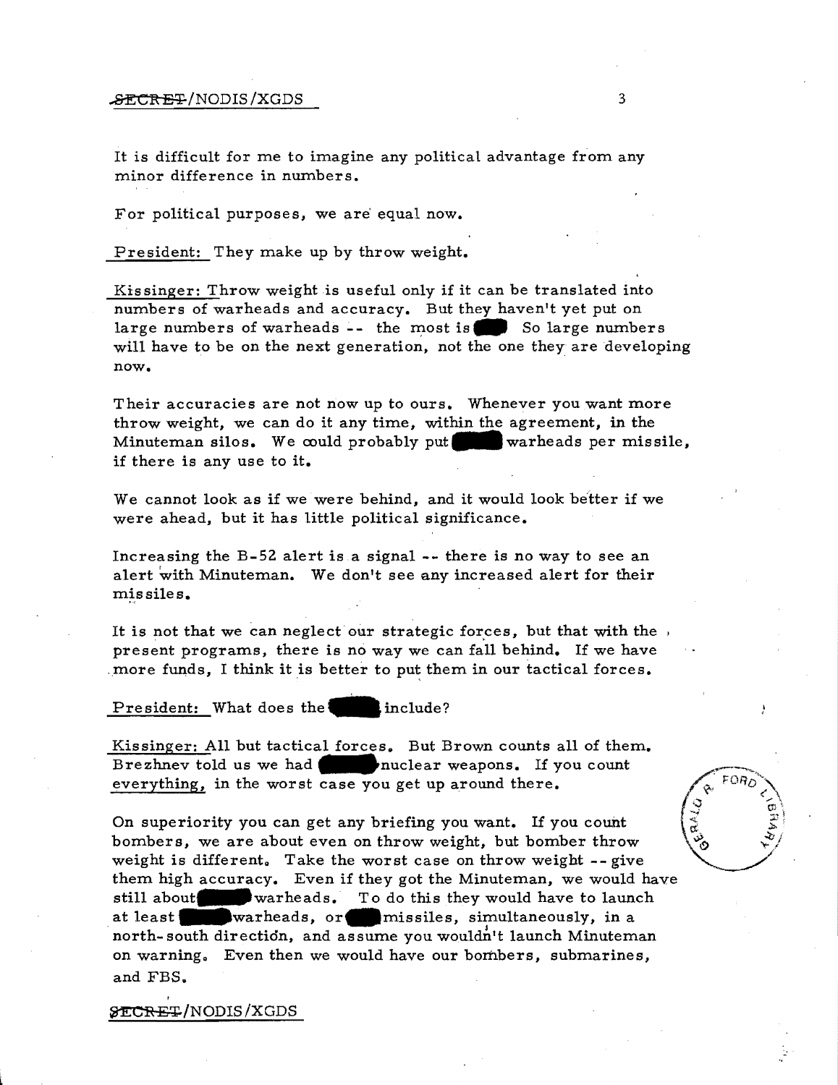#### $\texttt{FCTEF}$ /NODIS/XGDS 3

It is difficult for me to imagine any political advantage from any minor difference in numbers.

For political purposes, we are' equal now.

President: They make up by throw weight.

Kissinger: Throw weight is useful only if it can be translated into numbers of warheads and accuracy. But they haven't yet put on large numbers of warheads -- the most is So large numbers will have to be on the next generation, not the one they are developing now.

Their accuracies are not now up to ours. Whenever you want more throw weight, we can do it any time, within the agreement, in the Minuteman silos. We could probably put warheads per missile, if there is any use to it.

We cannot look as if we were behind, and it would look better if we were ahead, but it has little political significance.

Increasing the B-52 alert is a signal **--** there is no way to see an alert with Minuteman. We don't see any increased alert for their missiles.

It is not that we can neglect our strategic forces, but that with the present programs, there is no way we can fall behind. If we have . more funds, I think it is better to put them in our tactical forces.

President: What does the include?

Kissinger: All but tactical forces. But Brown counts all of them. Brezhnev told us we had **nuclear weapons.** If you count everything, in the worst case you get up around there.

On superiority you can get any briefing you want. If you count bombers, we are about even on throw weight, but bomber throw weight is different. Take the worst case on throw weight -- give them high accuracy. Even if they got the Minuteman, we would have still about warheads. To do this they would have to launch at least warheads, or missiles, simultaneously, in a north- south direction, and assume you wouldn't launch Minuteman on warning. Even then we would have our bombers, submarines, and FBS.



Þ,

**&ECRET/NODIS/XGDS** 

,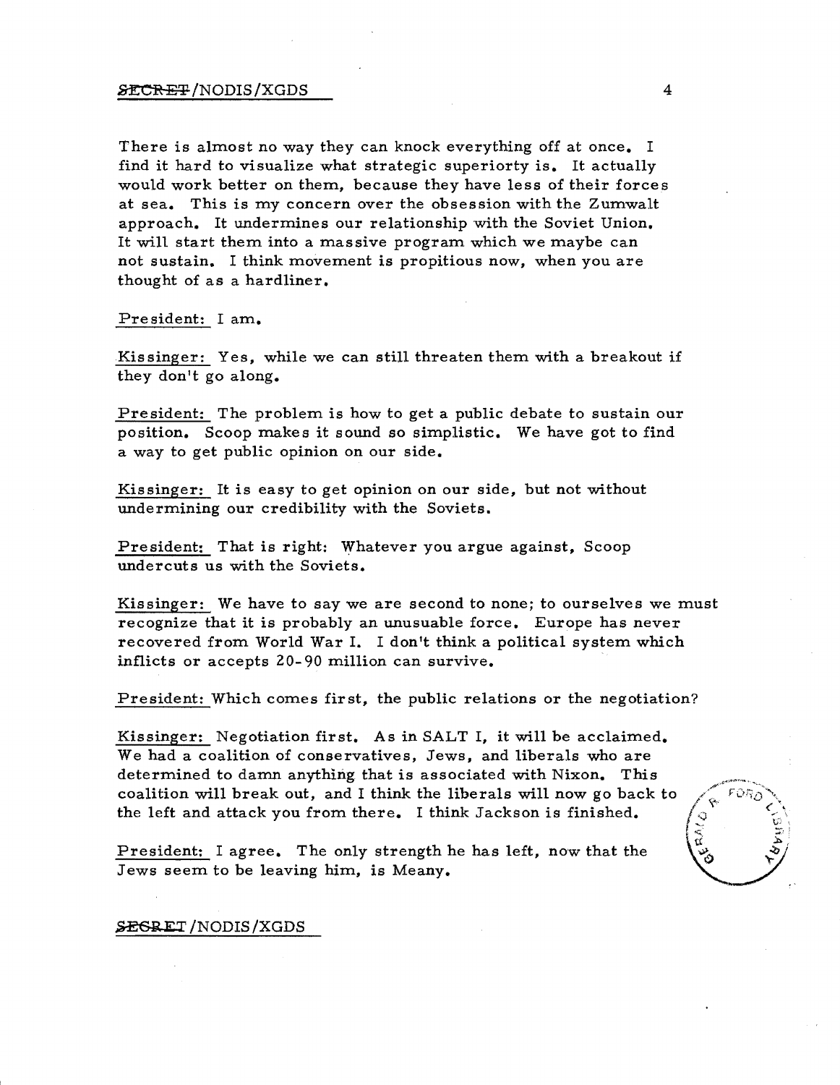#### $\tt 2ECREF/NODIS/XGDS$  4

There is almost no way they can knock everything off at once. I find it hard to visualize what strategic superiorty is. It actually would work better on them, because they have less of their forces at sea. This is my concern over the obsession with the Zumwalt approach. It undermines our relationship with the Soviet Union. It will start them into a massive program which we maybe can not sustain. I think movement is propitious now, when you are thought of as a hardliner.

Pre sident: I am.

Kissinger: Yes, while we can still threaten them with a breakout if they don't go along.

President: The problem is how to get a public debate to sustain our position. Scoop makes it sound so simplistic. We have got to find a way to get public opinion on our side.

Kissinger: It is easy to get opinion on our side, but not without undermining our credibility with the Soviets.

President: That is right: Whatever you argue against, Scoop undercuts us with the Soviets.

Kissinger: We have to say we are second to none; to ourselves we must recognize that it is probably an unusuable force. Europe has never recovered from World War I. I don't think a political system which inflicts or accepts 20- 90 million can survive.

President: Which comes first, the public relations or the negotiation?

Kissinger: Negotiation first. As in SALT I, it will be acclaimed. We had a coalition of conservatives, Jews, and liberals who are determined to damn anything that is associated with Nixon. This coalition will break out, and I think the liberals will now go back to the left and attack you from there. I think Jackson is finished.

President: I agree. The only strength he has left, now that the Jews seem to be leaving him, is Meany.

# $\frac{1}{2}$

#### **SEGRET**/NODIS/XGDS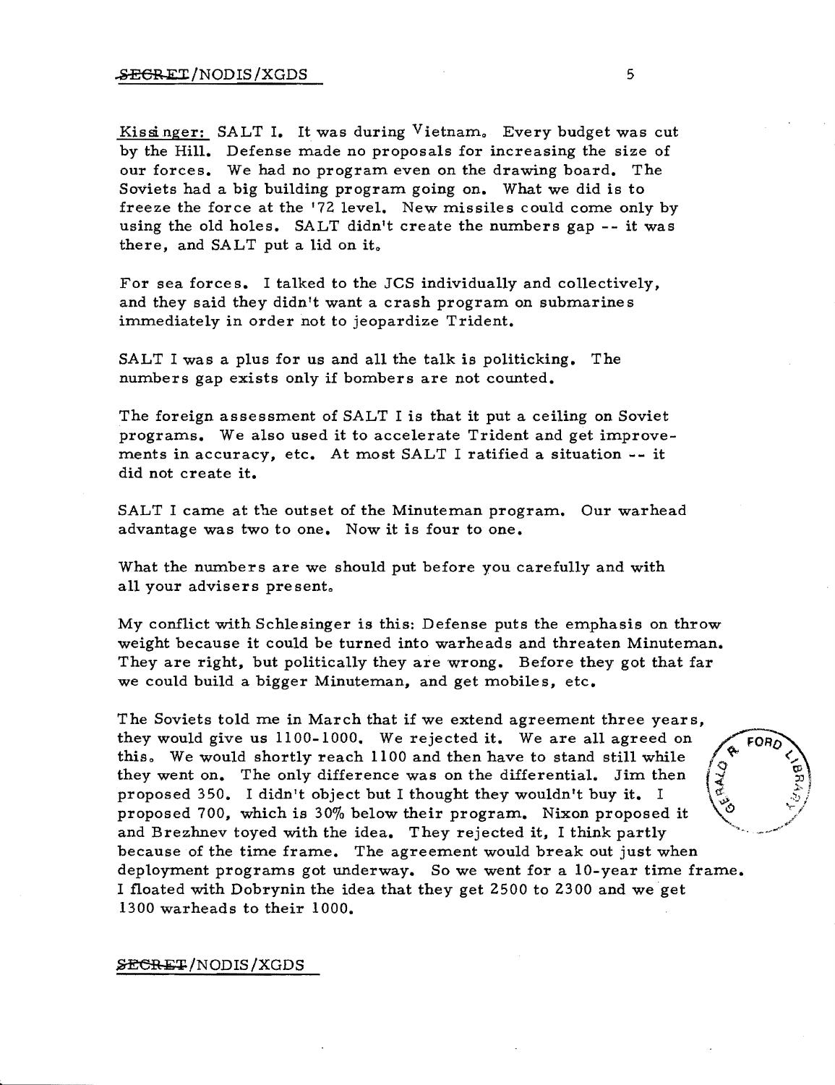Kissinger: SALT I. It was during Vietnam. Every budget was cut by the Hill. Defense made no proposals for increasing the size of our forces. We had no program even on the drawing board. The Soviets had a big building program going on. What we did is to freeze the force at the '72 level. New missiles could come only by using the old holes. SALT didn't create the numbers gap -- it was there, and SALT put a lid on it.

For sea force s. I talked to the JCS individually and collectively, and they said they didn't want a crash program on submarines immediately in order not to jeopardize Trident.

SALT I was a plus for us and all the talk is politicking. The numbers gap exists only if bombers are not counted.

The foreign assessment of SALT I is that it put a ceiling on Soviet programs. We also used it to accelerate Trident and get improvements in accuracy, etc. At most SALT I ratified a situation -- it did not create it.

SALT I came at the outset of the Minuteman program. Our warhead advantage was two to one. Now it is four to one.

What the numbers are we should put before you carefully and with all your advisers present.

My conflict with Schlesinger is this: Defense puts the emphasis on throw weight because it could be turned into warheads and threaten Minuteman. They are right, but politically they are wrong. Before they got that far we could build a bigger Minuteman, and get mobiles, etc.

The Soviets told me in March that if we extend agreement three years, they would give us 11 00-1000. We rejected it. We are all agreed on this. We would shortly reach 1100 and then have to stand still while they went on. The only difference was on the differential. Jim then proposed 350. I didn't object but I thought they wouldn't buy it. I proposed 700, which is 30% below their program. Nixon proposed it and Brezhnev toyed with the idea. They rejected it, I think partly because of the time frame. The agreement would break out just when deployment programs got underway. So we went for a 10-year time frame. I floated with Dobrynin the idea that they get 2500 to 2300 and we get 1300 warheads to their 1000.

~/NODIS/XGDS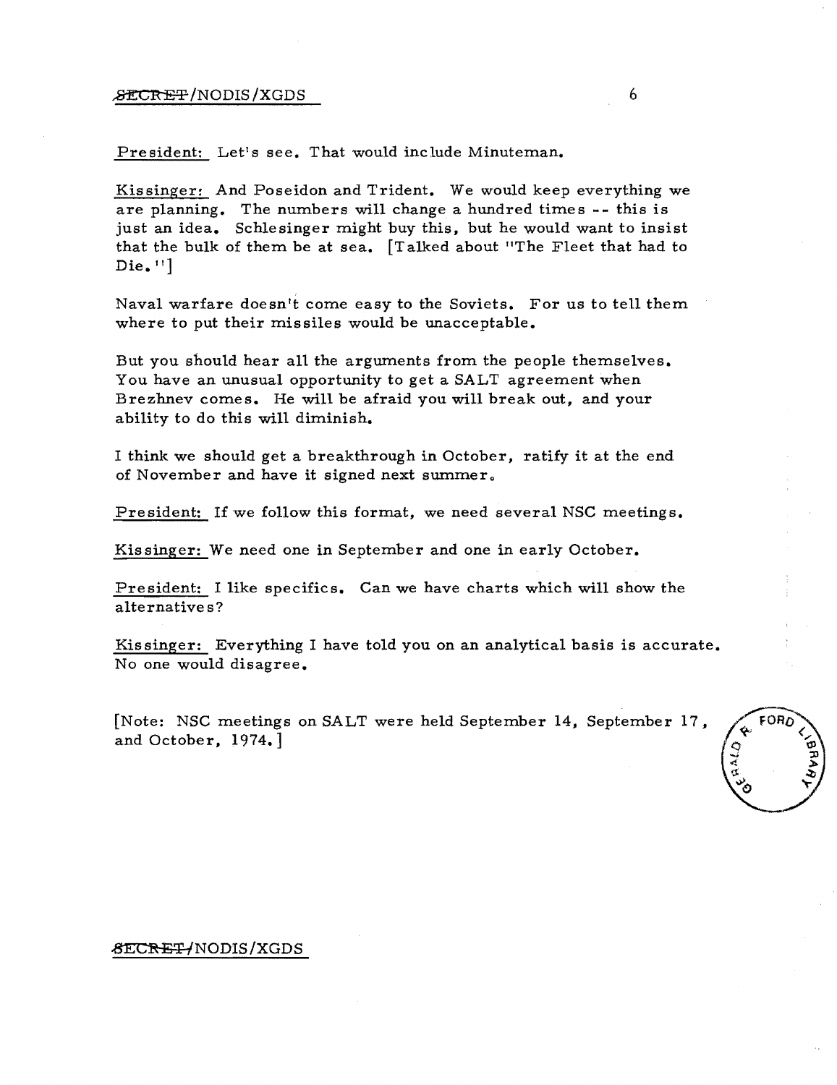#### $\mathcal{F}$   $\mathcal{F}$   $\mathcal{F}$   $\mathcal{F}$   $\mathcal{F}$   $\mathcal{F}$   $\mathcal{F}$   $\mathcal{F}$   $\mathcal{F}$   $\mathcal{F}$   $\mathcal{F}$   $\mathcal{F}$   $\mathcal{F}$   $\mathcal{F}$   $\mathcal{F}$   $\mathcal{F}$   $\mathcal{F}$   $\mathcal{F}$   $\mathcal{F}$   $\mathcal{F}$   $\mathcal{F}$   $\mathcal{F}$   $\mathcal{F}$   $\mathcal{F}$   $\mathcal{$

President: Let's see. That would include Minuteman.

Kissinger: And Poseidon and Trident. We would keep everything we are planning. The numbers will change a hundred times -- this is just an idea. Schlesinger might buy this, but he would want to insist that the bulk of them be at sea. [Talked about "The Fleet that had to  $Die. "]$ 

Naval warfare doesn't come easy to the Soviets. For us to tell them where to put their missiles would be unacceptable.

But you should hear all the arguments from the people themselves. You have an unusual opportunity to get a SALT agreement when Brezhnev comes. He will be afraid you will break out, and your ability to do this will diminish.

I think we should get a breakthrough in October, ratify it at the end of November and have it signed next summer.

President: If we follow this format, we need several NSC meetings.

Kissinger: We need one in September and one in early October.

President: I like specifics. Can we have charts which will show the alternative s?

Kissinger: Everything I have told you on an analytical basis is accurate. No one would disagree.

[Note: NSC meetings on SALT were held September 14, September 17 , and October, 1974.]



#### &ECRET/NODIS/XGDS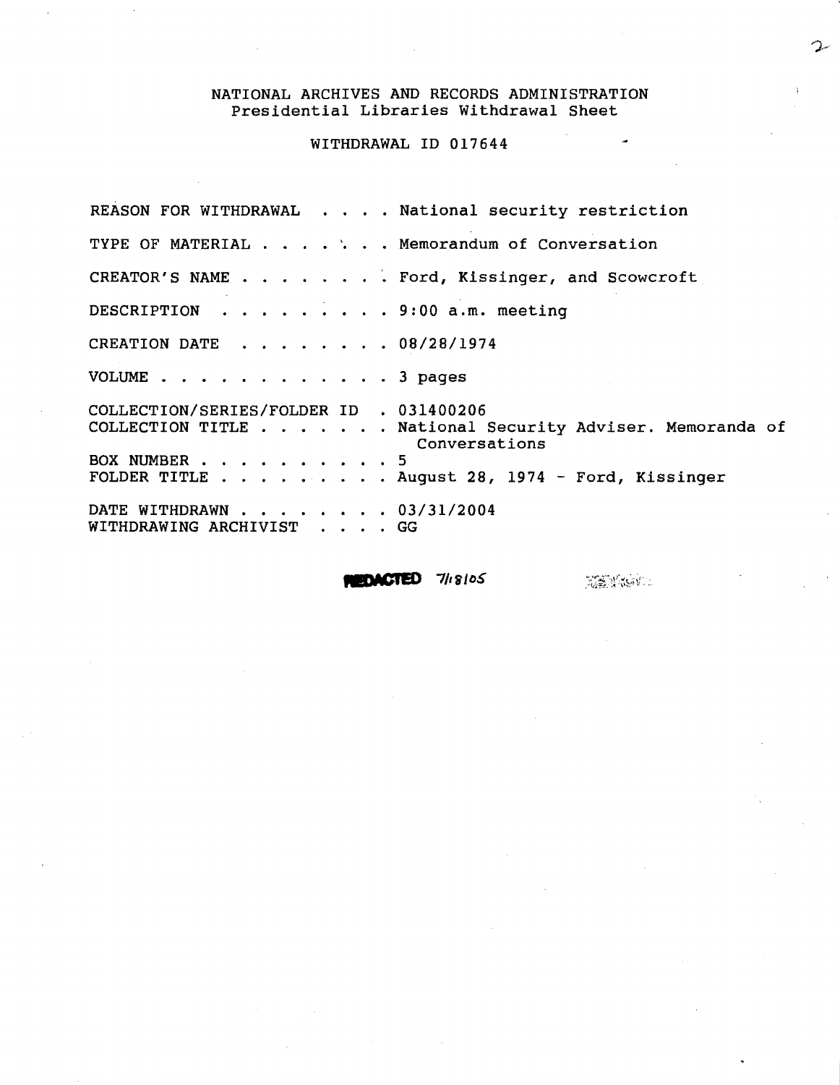WITHDRAWAL ID 017644

REASON FOR WITHDRAWAL . . . . National security restriction TYPE OF MATERIAL . . . . ` . . Memorandum of Conversation CREATOR'S NAME . . . . . . . Ford, Kissinger, and Scowcroft DESCRIPTION . . . . . . . . . 9:00 a.m. meeting CREATION DATE . 08/28/1974 VOLUME . 3 pages COLLECTION/SERIES/FOLDER 10 • 031400206 COLLECTION TITLE . . . . . . National Security Adviser. Memoranda of Conversations BOX NUMBER . . . . . . . . . . 5 FOLDER TITLE . . . . . . . . August 28, 1974 - Ford, Kissinger DATE WITHDRAWN . . . . . . . 03/31/2004 WITHDRAWING ARCHIVIST GG

 $$ 

**REMANDE**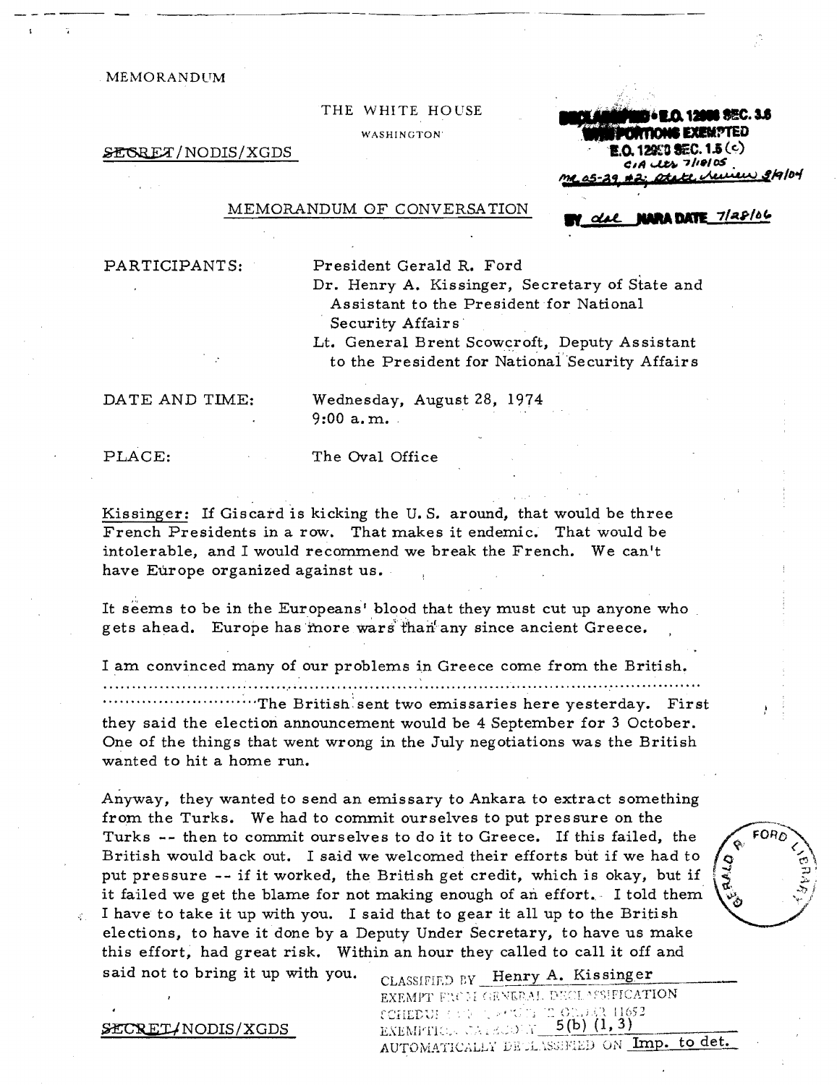THE WHITE HOUSE WASHINGTON<sup>®</sup>

~ /NODIS/XGDS

**I.O. 12000 \$EC. 3.6 INTIONIS EXEMPTED**  $0.12950$  SEC. 1.5 (c)  $A$  les  $7||P|$  os otate review 3/9/04

**UNRA DATE 7/28/06** 

#### MEMORANDUM OF CONVERSATION

PARTICIPANTS:

President Gerald R. Ford

Dr. Henry A. Kissinger, Secretary of State and Assistant to the President for National Security Affairs<sup>1</sup>

Lt. General Brent Scowcroft, Deputy Assistant to the President for National Security Affairs

DATE AND TIME:

Wednesday, August 28, 1974  $9:00 a.m.$ 

PLACE:

The Oval Office

Kissinger: If Giscard is kicking the U.S. around, that would be three French Presidents in a row. That makes it endemic. That would be intolerable, and I would recommend we break the French. We can't have Europe organized against us.

It seems to be in the Europeans' blood that they must cut up anyone who gets ahead. Europe has more wars than any since ancient Greece.

I am convinced many of our problems in Greece come from the British .

.. .. " .. t ~ .. ~ " .. " .......... " " " ....... " • " " .... " .. "' .. , ............ " .... ~ " .... " .. " " .. " " " " " ................. t ....... " ......... " ......... " ............. ., ." .. " .. " ...... " ..... - • " .. "

The British sent two emissaries here yesterday. First they said the election announcement would be 4 September for 3 October. One of the things that went wrong in the July negotiations was the British wanted to hit a home run.

Anyway, they wanted to send an emissary to Ankara to extract something from the Turks. We had to commit ourselves to put pressure on the Turks -- then to commit ourselves to do it to Greece. If this failed, the British would back out. I said we welcomed their efforts but if we had to put pressure -- if it worked, the British get credit, which is okay, but if it failed we get the blame for not making enough of an effort. I told them I have to take it up with you. I said that to gear it all up to the British elections, to have it done by a Deputy Under Secretary, to have us make this effort, had great risk. Within an hour they called to call it off and



said not to bring it up with you.  $\Gamma_{\text{CLASSIFIED~BV}}$  Henry A. Kissinger EXEMPT FIXEM GENERAL DECLASSIFICATION<br>COHEDUL (3) (1, 2000): TO ORD 43, 11652 EXEMITION CAPACOR 5(b)  $(1, 3)$ AUTOMATICALLY DECLASSIFIED ON Imp. to det.

SECRET/NODIS/XGDS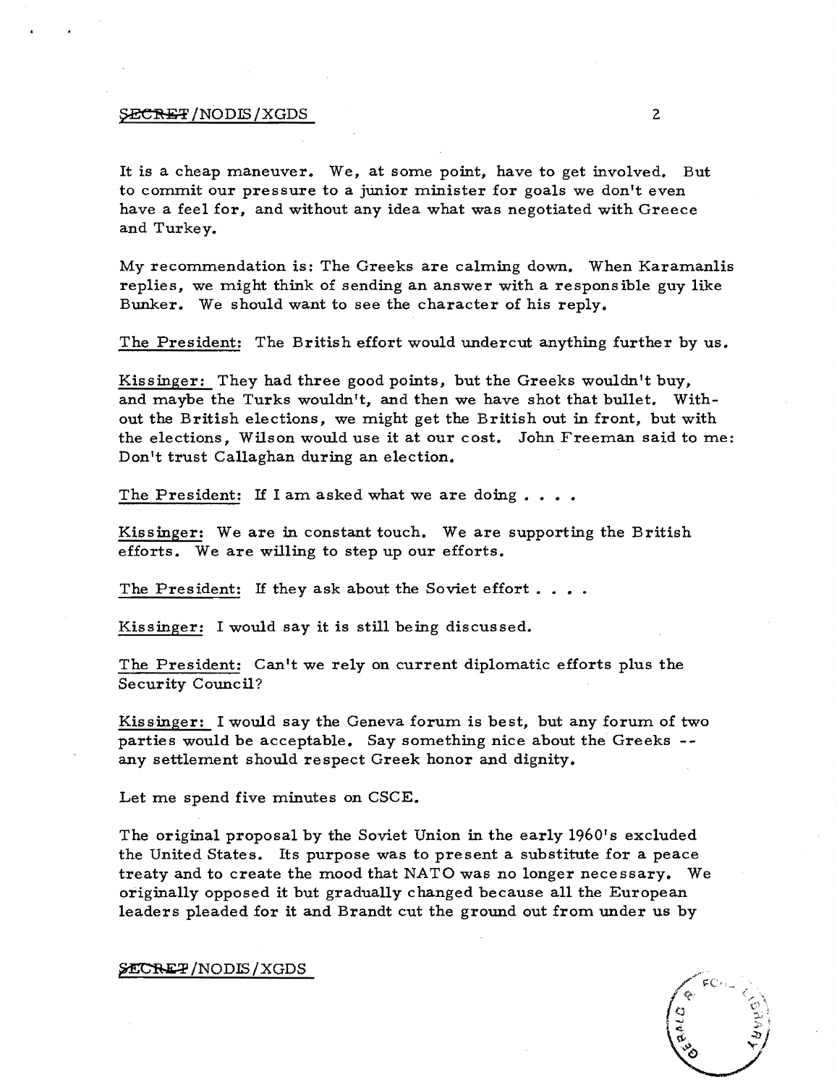#### ${SECHET} / NODIS / XGDS$  2

It is a cheap maneuver. We, at some point, have to get involved. But to commit our pressure to a junior minister for goals we don't even have a feel for, and without any idea what was negotiated with Greece and Turkey.

My recommendation is: The Greeks are calming down. When Karamanlis replies, we might think of sending an answer with a responsible guy like Bunker. We should want to see the character of his reply.

The President: The British effort would undercut anything further by us.

Kissinger: They had three good points, but the Greeks wouldn't buy, and maybe the Turks wouldn't, and then we have shot that bullet. Without the British elections, we might get the British out in front, but with the elections, Wilson would use it at our cost. John Freeman said to me: Don't trust Callaghan during an election.

The President: If I am asked what we are doing  $\dots$ .

Kissinger: We are in constant touch. We are supporting the British efforts. We are willing to step up our efforts.

The President: If they ask about the Soviet effort....

Kissinger: I would say it is still being discussed.

The President: Can't we rely on current diplomatic efforts plus the Security Council?

Kissinger: I would say the Geneva forum is best, but any forum of two parties would be acceptable. Say something nice about the Greeks any settlement should respect Greek honor and dignity.

Let me spend five minutes on CSCE.

The original proposal by the Soviet Union in the early 1960's excluded the United States. Its purpose was to present a substitute for a peace treaty and to create the mood that NATO was no longer necessary. We originally opposed it but gradually changed because all the European leaders pleaded for it and Brandt cut the ground out from under us by

#### ~/NODm/XGDS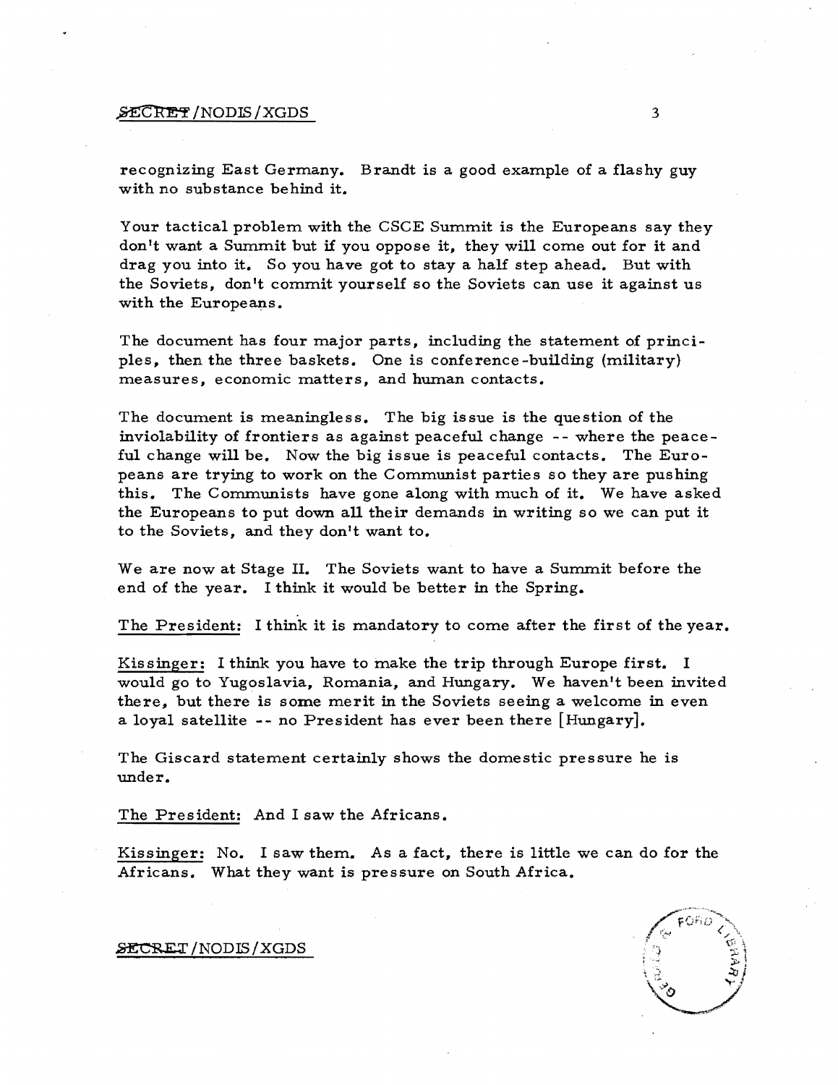#### $\cancel{\mathsf{SCR}}$   $\rightarrow$  3

recognizing East Germany. Brandt is a good example of a flashy guy with no substance behind it.

Your tactical problem with the CSCE Summit is the Europeans say they don't want a Summit but if you oppose it, they will come out for it and drag you into it. So you have got to stay a half step ahead. But with the Soviets, don't commit yourself so the Soviets can use it against us with the Europeans.

The document has four major parts, including the statement of principles, then the three baskets. One is conference-building (military) measures, economic matters, and human contacts.

The document is meaningless. The big issue is the question of the inviolability of frontiers as against peaceful change -- where the peaceful change will be. Now the big issue is peaceful contacts. The Europeans are trying to work on the Communist parties so they are pushing this. The Communists have gone along with much of it. We have asked the Europeans to put down all their demands in writing so we can put it to the Soviets, and they don't want to.

We are now at Stage II. The Soviets want to have a Summit before the end of the year. I think it would be better in the Spring.

The President: I think it is mandatory to come after the first of the year.

Kissinger: I think you have to make the trip through Europe first. I would go to Yugoslavia, Romania, and Hungary. We haven't been invited there, but there is some merit in the Soviets seeing a welcome in even a loyal satellite -- no President has ever been there [Hungary].

The Giscard statement certainly shows the domestic pressure he is under.

The Pres ident: And I saw the Africans.

Kissinger: No. I saw them. As a fact, there is little we can do for the Africans. What they want is pressure on South Africa.



SECRET/NODIS/XGDS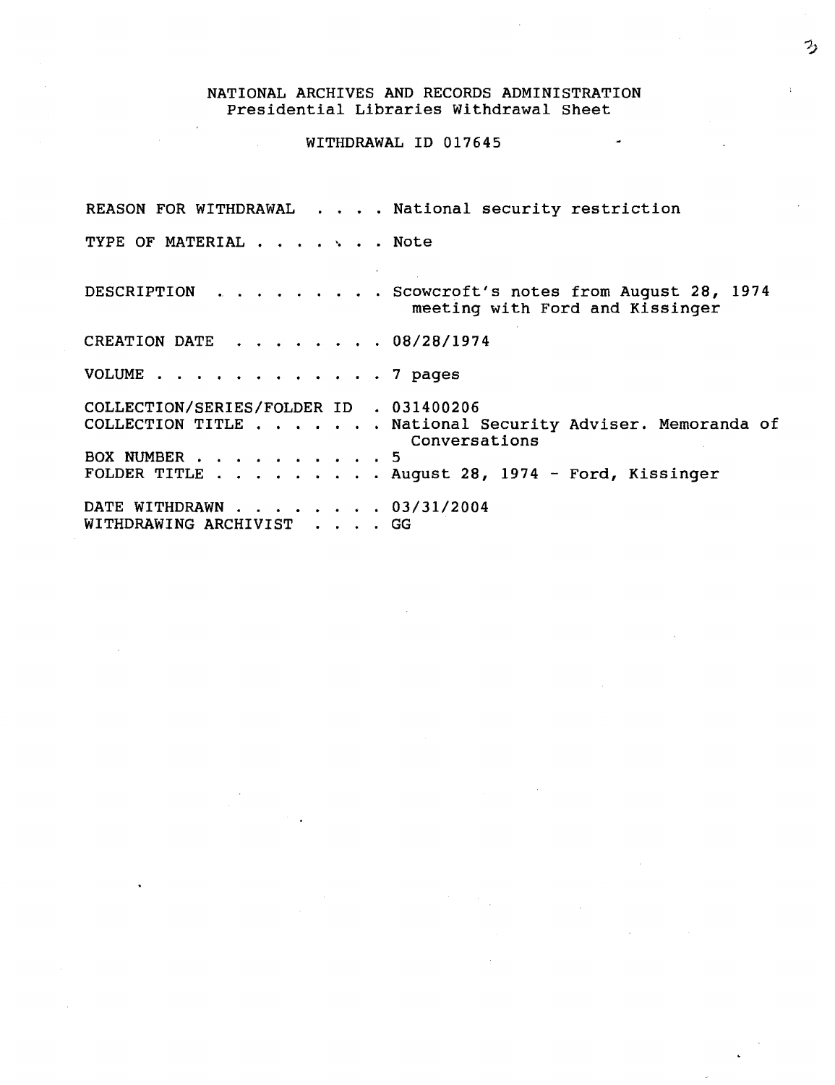#### WITHDRAWAL ID 017645

REASON FOR WITHDRAWAL . . . . National security restriction TYPE OF MATERIAL . . . . . . Note DESCRIPTION · Scowcroft's notes from August 28, 1974  $\mathbf{u}^{\prime}$  ,  $\mathbf{u}^{\prime}$  ,  $\mathbf{u}^{\prime}$  ,  $\mathbf{u}^{\prime}$  $\bullet$  $\sim$ meeting with Ford and Kissinger CREATION DATE  $\ldots$ ,  $\ldots$ , 08/28/1974 VOLUME . . . . . . . . . . . . 7 pages COLLECTION/SERIES/FOLDER ID . 031400206 COLLECTION TITLE ... National Security Adviser. Memoranda of Conversations · 5 BOX NUMBER . August 28, 1974 - Ford, Kissinger FOLDER TITLE . . . . DATE WITHDRAWN . . • . .. 03/31/2004 WITHDRAWING ARCHIVIST . . . . GG